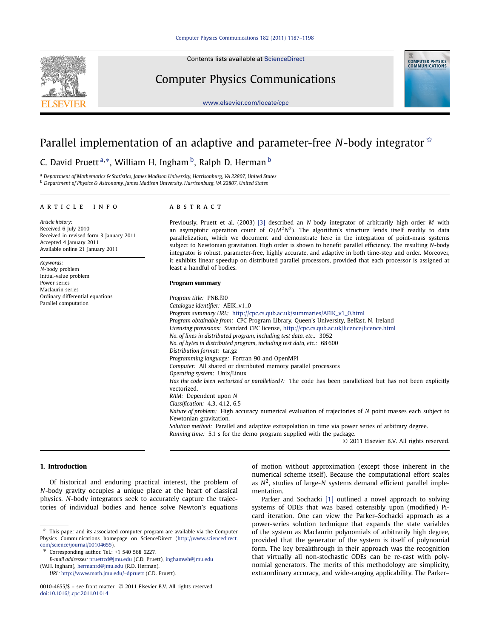

Contents lists available at [ScienceDirect](http://www.ScienceDirect.com/)

Computer Physics Communications

**COMPUTER PHYSICS**<br>COMMUNICATIONS

[www.elsevier.com/locate/cpc](http://www.elsevier.com/locate/cpc)

# Parallel implementation of an adaptive and parameter-free *N*-body integrator  $\dot{\mathbf{x}}$

# C. David Pruett<sup>a,∗</sup>, William H. Ingham<sup>b</sup>, Ralph D. Herman<sup>b</sup>

<sup>a</sup> *Department of Mathematics & Statistics, James Madison University, Harrisonburg, VA 22807, United States* <sup>b</sup> *Department of Physics & Astronomy, James Madison University, Harrisonburg, VA 22807, United States*

# article info abstract

*Article history:* Received 6 July 2010 Received in revised form 3 January 2011 Accepted 4 January 2011 Available online 21 January 2011

*Keywords: N*-body problem Initial-value problem Power series Maclaurin series Ordinary differential equations Parallel computation

Previously, Pruett et al. (2003) [\[3\]](#page-11-0) described an *N*-body integrator of arbitrarily high order *M* with an asymptotic operation count of  $O(M^2N^2)$ . The algorithm's structure lends itself readily to data parallelization, which we document and demonstrate here in the integration of point-mass systems subject to Newtonian gravitation. High order is shown to benefit parallel efficiency. The resulting *N*-body integrator is robust, parameter-free, highly accurate, and adaptive in both time-step and order. Moreover, it exhibits linear speedup on distributed parallel processors, provided that each processor is assigned at least a handful of bodies.

#### **Program summary**

*Program title:* PNB.f90 *Catalogue identifier:* AEIK\_v1\_0 *Program summary URL:* [http://cpc.cs.qub.ac.uk/summaries/AEIK\\_v1\\_0.html](http://cpc.cs.qub.ac.uk/summaries/AEIK_v1_0.html) *Program obtainable from:* CPC Program Library, Queen's University, Belfast, N. Ireland *Licensing provisions:* Standard CPC license, <http://cpc.cs.qub.ac.uk/licence/licence.html> *No. of lines in distributed program, including test data, etc.:* 3052 *No. of bytes in distributed program, including test data, etc.:* 68 600 *Distribution format:* tar.gz *Programming language:* Fortran 90 and OpenMPI *Computer:* All shared or distributed memory parallel processors *Operating system:* Unix/Linux *Has the code been vectorized or parallelized?:* The code has been parallelized but has not been explicitly vectorized. *RAM:* Dependent upon *N Classification:* 4.3, 4.12, 6.5 *Nature of problem:* High accuracy numerical evaluation of trajectories of *N* point masses each subject to Newtonian gravitation. *Solution method:* Parallel and adaptive extrapolation in time via power series of arbitrary degree. *Running time:* 5.1 s for the demo program supplied with the package. © 2011 Elsevier B.V. All rights reserved.

#### **1. Introduction**

Of historical and enduring practical interest, the problem of *N*-body gravity occupies a unique place at the heart of classical physics. *N*-body integrators seek to accurately capture the trajectories of individual bodies and hence solve Newton's equations

of motion without approximation (except those inherent in the numerical scheme itself). Because the computational effort scales as *N*2, studies of large-*N* systems demand efficient parallel implementation.

Parker and Sochacki [\[1\]](#page-11-0) outlined a novel approach to solving systems of ODEs that was based ostensibly upon (modified) Picard iteration. One can view the Parker–Sochacki approach as a power-series solution technique that expands the state variables of the system as Maclaurin polynomials of arbitrarily high degree, provided that the generator of the system is itself of polynomial form. The key breakthrough in their approach was the recognition that virtually all non-stochastic ODEs can be re-cast with polynomial generators. The merits of this methodology are simplicity, extraordinary accuracy, and wide-ranging applicability. The Parker–

<sup>✩</sup> This paper and its associated computer program are available via the Computer Physics Communications homepage on ScienceDirect [\(http://www.sciencedirect.](http://www.sciencedirect.com/science/journal/00104655) [com/science/journal/00104655\)](http://www.sciencedirect.com/science/journal/00104655).

Corresponding author. Tel.: +1 540 568 6227.

*E-mail addresses:* [pruettcd@jmu.edu](mailto:pruettcd@jmu.edu) (C.D. Pruett), [inghamwh@jmu.edu](mailto:inghamwh@jmu.edu) (W.H. Ingham), [hermanrd@jmu.edu](mailto:hermanrd@jmu.edu) (R.D. Herman).

*URL:* <http://www.math.jmu.edu/~dpruett> (C.D. Pruett).

<sup>0010-4655/\$ –</sup> see front matter © 2011 Elsevier B.V. All rights reserved. [doi:10.1016/j.cpc.2011.01.014](http://dx.doi.org/10.1016/j.cpc.2011.01.014)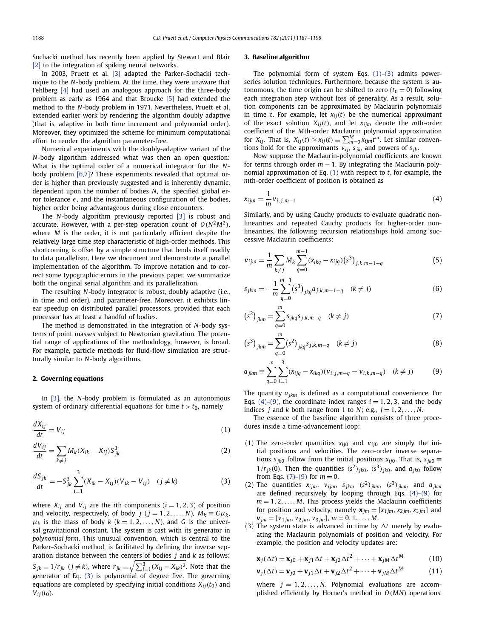<span id="page-1-0"></span>Sochacki method has recently been applied by Stewart and Blair [\[2\]](#page-11-0) to the integration of spiking neural networks.

In 2003, Pruett et al. [\[3\]](#page-11-0) adapted the Parker–Sochacki technique to the *N*-body problem. At the time, they were unaware that Fehlberg [\[4\]](#page-11-0) had used an analogous approach for the three-body problem as early as 1964 and that Broucke [\[5\]](#page-11-0) had extended the method to the *N*-body problem in 1971. Nevertheless, Pruett et al. extended earlier work by rendering the algorithm doubly adaptive (that is, adaptive in both time increment and polynomial order). Moreover, they optimized the scheme for minimum computational effort to render the algorithm parameter-free.

Numerical experiments with the doubly-adaptive variant of the *N*-body algorithm addressed what was then an open question: What is the optimal order of a numerical integrator for the *N*body problem [\[6,7\]?](#page-11-0) These experiments revealed that optimal order is higher than previously suggested and is inherently dynamic, dependent upon the number of bodies *N*, the specified global error tolerance  $\epsilon$ , and the instantaneous configuration of the bodies, higher order being advantageous during close encounters.

The *N*-body algorithm previously reported [\[3\]](#page-11-0) is robust and accurate. However, with a per-step operation count of  $O(N^2M^2)$ , where *M* is the order, it is not particularly efficient despite the relatively large time step characteristic of high-order methods. This shortcoming is offset by a simple structure that lends itself readily to data parallelism. Here we document and demonstrate a parallel implementation of the algorithm. To improve notation and to correct some typographic errors in the previous paper, we summarize both the original serial algorithm and its parallelization.

The resulting *N*-body integrator is robust, doubly adaptive (i.e., in time and order), and parameter-free. Moreover, it exhibits linear speedup on distributed parallel processors, provided that each processor has at least a handful of bodies.

The method is demonstrated in the integration of *N*-body systems of point masses subject to Newtonian gravitation. The potential range of applications of the methodology, however, is broad. For example, particle methods for fluid-flow simulation are structurally similar to *N*-body algorithms.

# **2. Governing equations**

In [\[3\],](#page-11-0) the *N*-body problem is formulated as an autonomous system of ordinary differential equations for time  $t > t_0$ , namely

$$
\frac{dX_{ij}}{dt} = V_{ij} \tag{1}
$$

$$
\frac{dV_{ij}}{dt} = \sum_{k \neq j} M_k (X_{ik} - X_{ij}) S_{jk}^3
$$
 (2)

$$
\frac{dS_{jk}}{dt} = -S_{jk}^{3} \sum_{i=1}^{3} (X_{ik} - X_{ij})(V_{ik} - V_{ij}) \quad (j \neq k)
$$
\n(3)

where  $X_{ij}$  and  $V_{ij}$  are the *i*th components ( $i = 1, 2, 3$ ) of position and velocity, respectively, of body  $j$  ( $j = 1, 2, ..., N$ ),  $M_k \equiv G\mu_k$ ,  $\mu_k$  is the mass of body *k* ( $k = 1, 2, ..., N$ ), and *G* is the universal gravitational constant. The system is cast with its generator in *polynomial form*. This unusual convention, which is central to the Parker–Sochacki method, is facilitated by defining the inverse separation distance between the centers of bodies *j* and *k* as follows:  $S_{jk} \equiv 1/r_{jk}$  (*j*  $\neq k$ ), where  $r_{jk} \equiv \sqrt{\sum_{i=1}^{3} (X_{ij} - X_{ik})^2}$ . Note that the generator of Eq. (3) is polynomial of degree five. The governing equations are completed by specifying initial conditions  $X_{ij}(t_0)$  and  $V_{ii}(t_0)$ .

## **3. Baseline algorithm**

The polynomial form of system Eqs.  $(1)$ – $(3)$  admits powerseries solution techniques. Furthermore, because the system is autonomous, the time origin can be shifted to zero  $(t_0 = 0)$  following each integration step without loss of generality. As a result, solution components can be approximated by Maclaurin polynomials in time *t*. For example, let  $x_{ij}(t)$  be the numerical approximant of the exact solution  $X_{ij}(t)$ , and let  $x_{ijm}$  denote the *m*th-order coefficient of the *M*th-order Maclaurin polynomial approximation for  $X_{ij}$ . That is,  $X_{ij}(t) \approx x_{ij}(t) \equiv \sum_{m=0}^{M} x_{ijm} t^m$ . Let similar conventions both for the convenience of tions hold for the approximants  $v_{ij}$ ,  $s_{jk}$ , and powers of  $s_{jk}$ .

Now suppose the Maclaurin-polynomial coefficients are known for terms through order  $m - 1$ . By integrating the Maclaurin polynomial approximation of Eq. (1) with respect to *t*, for example, the *m*th-order coefficient of position is obtained as

$$
x_{ijm} = \frac{1}{m} v_{i,j,m-1} \tag{4}
$$

Similarly, and by using Cauchy products to evaluate quadratic nonlinearities and repeated Cauchy products for higher-order nonlinearities, the following recursion relationships hold among successive Maclaurin coefficients:

$$
v_{ijm} = \frac{1}{m} \sum_{k \neq j} M_k \sum_{q=0}^{m-1} (x_{ikq} - x_{ijq})(s^3)_{j,k,m-1-q}
$$
(5)

$$
s_{jkm} = -\frac{1}{m} \sum_{q=0}^{m-1} (s^3)_{jkq} a_{j,k,m-1-q} \quad (k \neq j)
$$
 (6)

$$
(s^{2})_{jkm} = \sum_{q=0}^{m} s_{jkq} s_{j,k,m-q} \quad (k \neq j)
$$
 (7)

$$
(s3)jkm = \sum_{q=0}^{m} (s2)jkq sj,k,m-q \quad (k \neq j)
$$
 (8)

$$
a_{jkm} \equiv \sum_{q=0}^{m} \sum_{i=1}^{3} (x_{ijq} - x_{ikq})(v_{i,j,m-q} - v_{i,k,m-q}) \quad (k \neq j)
$$
 (9)

The quantity *a jkm* is defined as a computational convenience. For Eqs. (4)–(9), the coordinate index ranges  $i = 1, 2, 3$ , and the body indices *j* and *k* both range from 1 to *N*; e.g.,  $j = 1, 2, \ldots, N$ .

The essence of the baseline algorithm consists of three procedures inside a time-advancement loop:

- (1) The zero-order quantities  $x_{ij0}$  and  $v_{ij0}$  are simply the initial positions and velocities. The zero-order inverse separations *s*  $j_{k0}$  follow from the initial positions  $x_{ij0}$ . That is,  $s_{jk0} \equiv$  $1/r_{ik}(0)$ . Then the quantities  $(s^2)_{ik0}$ ,  $(s^3)_{ik0}$ , and  $a_{ik0}$  follow from Eqs. (7)–(9) for  $m = 0$ .
- (2) The quantities  $x_{ijm}$ ,  $v_{ijm}$ ,  $s_{jkm}$   $(s^2)_{jkm}$ ,  $(s^3)_{jkm}$ , and  $a_{jkm}$ are defined recursively by looping through Eqs. (4)–(9) for  $m = 1, 2, \ldots, M$ . This process yields the Maclaurin coefficients for position and velocity, namely  $\mathbf{x}_{jm} = [x_{1jm}, x_{2jm}, x_{3jm}]$  and  $\mathbf{v}_{jm} = [\nu_{1jm}, \nu_{2jm}, \nu_{3jm}], m = 0, 1, \ldots, M.$
- (3) The system state is advanced in time by  $\Delta t$  merely by evaluating the Maclaurin polynomials of position and velocity. For example, the position and velocity updates are:

$$
\mathbf{x}_{j}(\Delta t) = \mathbf{x}_{j0} + \mathbf{x}_{j1}\Delta t + \mathbf{x}_{j2}\Delta t^{2} + \dots + \mathbf{x}_{jM}\Delta t^{M}
$$
 (10)

$$
\mathbf{v}_j(\Delta t) = \mathbf{v}_{j0} + \mathbf{v}_{j1}\Delta t + \mathbf{v}_{j2}\Delta t^2 + \dots + \mathbf{v}_{jM}\Delta t^M
$$
 (11)

where  $j = 1, 2, ..., N$ . Polynomial evaluations are accomplished efficiently by Horner's method in *O(M N)* operations.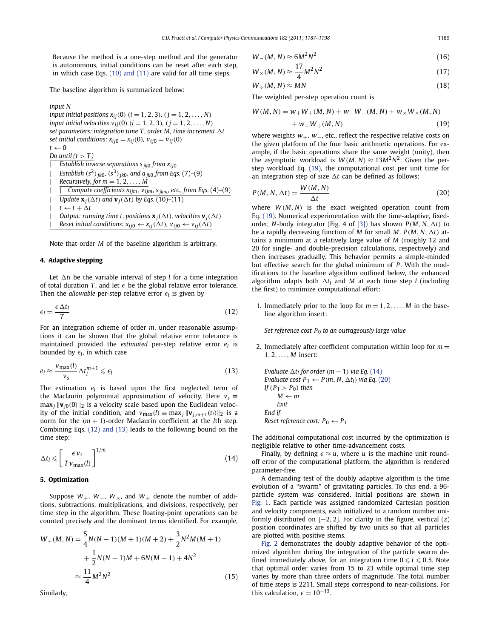<span id="page-2-0"></span>Because the method is a one-step method and the generator is autonomous, initial conditions can be reset after each step, in which case Eqs. [\(10\) and \(11\)](#page-1-0) are valid for all time steps.

The baseline algorithm is summarized below:

#### *input N*

*input initial positions*  $x_{ij}$ *(0)*  $(i = 1, 2, 3)$ *,*  $(i = 1, 2, ..., N)$ *input initial velocities*  $v_{ii}(0)$  *(* $i = 1, 2, 3$ *), (* $j = 1, 2, ..., N$ *) set parameters: integration time T, order M, time increment*  $\Delta t$ *set initial conditions:*  $x_{ij0} = x_{ij}(0)$ *,*  $v_{ij0} = v_{ij}(0)$  $t \leftarrow 0$ *Do until (t > T )* | *Establish inverse separations s jk*<sup>0</sup> *from xij*<sup>0</sup> *Establish*  $(s^2)_{ik0}$ ,  $(s^3)_{ik0}$ , and a<sub>ik0</sub> from Eqs. (7)–(9) | *Recursively, for m* = 1*,* 2*,..., M* | | *Compute coefficients xijm, vijm, s jkm, etc., from Eqs.* (4)–(9) *Update*  $\mathbf{x}_i(\Delta t)$  *and*  $\mathbf{v}_i(\Delta t)$  *by Eqs.* (10)–(11)  $t \leftarrow t + \Delta t$ *Output: running time t, positions*  $\mathbf{x}_i(\Delta t)$ *, velocities*  $\mathbf{v}_i(\Delta t)$ *Reset initial conditions:*  $x_{ij0} \leftarrow x_{ij}(\Delta t)$ ,  $v_{ij0} \leftarrow v_{ij}(\Delta t)$ 

Note that order *M* of the baseline algorithm is arbitrary.

#### **4. Adaptive stepping**

Let  $\Delta t_l$  be the variable interval of step *l* for a time integration of total duration  $T$ , and let  $\epsilon$  be the global relative error tolerance. Then the *allowable* per-step relative error  $\epsilon_l$  is given by

$$
\epsilon_l = \frac{\epsilon \Delta t_l}{T} \tag{12}
$$

For an integration scheme of order *m*, under reasonable assumptions it can be shown that the global relative error tolerance is maintained provided the *estimated* per-step relative error *el* is bounded by  $\epsilon_l$ , in which case

$$
e_l \approx \frac{v_{\text{max}}(l)}{v_s} \Delta t_l^{m+1} \leqslant \epsilon_l
$$
\n(13)

The estimation *el* is based upon the first neglected term of the Maclaurin polynomial approximation of velocity. Here  $v_s \equiv$  $\max_i \|\mathbf{v}_{i0}(0)\|_2$  is a velocity scale based upon the Euclidean velocity of the initial condition, and  $v_{\text{max}}(l) \equiv \max_{i} ||\mathbf{v}_{i,m+1}(t_i)||_2$  is a norm for the  $(m + 1)$ -order Maclaurin coefficient at the *l*th step. Combining Eqs. (12) and (13) leads to the following bound on the time step:

$$
\Delta t_l \leqslant \left[ \frac{\epsilon v_s}{T v_{\text{max}}(l)} \right]^{1/m} \tag{14}
$$

#### **5. Optimization**

Suppose  $W_+$ ,  $W_-$ ,  $W_{\times}$ , and  $W_+$  denote the number of additions, subtractions, multiplications, and divisions, respectively, per time step in the algorithm. These floating-point operations can be counted precisely and the dominant terms identified. For example,

$$
W_{+}(M, N) = \frac{5}{4}N(N - 1)(M + 1)(M + 2) + \frac{3}{2}N^{2}M(M + 1)
$$
  
+ 
$$
\frac{1}{2}N(N - 1)M + 6N(M - 1) + 4N^{2}
$$
  

$$
\approx \frac{11}{4}M^{2}N^{2}
$$
 (15)

Similarly,

$$
W_{-}(M,N) \approx 6M^2N^2 \tag{16}
$$

$$
W_{\times}(M,N) \approx \frac{17}{4}M^2N^2\tag{17}
$$

$$
W_{\div}(M,N) \approx MN \tag{18}
$$

The weighted per-step operation count is

 $W(M, N) = W_+W_+(M, N) + W_-W_-(M, N) + W_{\times}W_{\times}(M, N)$  $+ w_{\perp} W_{\perp} (M, N)$  (19)

where weights *w*<sub>+</sub>, *w*<sub>−</sub>, etc., reflect the respective relative costs on the given platform of the four basic arithmetic operations. For example, if the basic operations share the same weight (unity), then the asymptotic workload is  $W(M, N) \approx 13M^2N^2$ . Given the perstep workload Eq. (19), the computational cost per unit time for an integration step of size  $\Delta t$  can be defined as follows:

$$
P(M, N, \Delta t) = \frac{W(M, N)}{\Delta t}
$$
 (20)

where *W (M, N)* is the exact weighted operation count from Eq. (19). Numerical experimentation with the time-adaptive, fixedorder, *N*-body integrator (Fig. 4 of [\[3\]\)](#page-11-0) has shown  $P(M, N, \Delta t)$  to be a rapidly decreasing function of *M* for small *M*. *P(M, N,t)* attains a minimum at a relatively large value of *M* (roughly 12 and 20 for single- and double-precision calculations, respectively) and then increases gradually. This behavior permits a simple-minded but effective search for the global minimum of *P*. With the modifications to the baseline algorithm outlined below, the enhanced algorithm adapts both  $\Delta t_l$  and *M* at each time step *l* (including the first) to minimize computational effort:

1. Immediately prior to the loop for  $m = 1, 2, \ldots, M$  in the baseline algorithm insert:

*Set reference cost P*<sup>0</sup> *to an outrageously large value*

2. Immediately after coefficient computation within loop for  $m =$ 1*,* 2*,..., M* insert:

*Evaluate*  $\Delta t_l$  *for order*  $(m - 1)$  *via Eq.* (14) *Evaluate cost*  $P_1 \leftarrow P(m, N, \Delta t_l)$  *via Eq.* (20) *If*  $(P_1 > P_0)$  *then*  $M \leftarrow m$ *Exit End if Reset reference cost:*  $P_0 \leftarrow P_1$ 

The additional computational cost incurred by the optimization is negligible relative to other time-advancement costs.

Finally, by defining  $\epsilon \approx u$ , where *u* is the machine unit roundoff error of the computational platform, the algorithm is rendered parameter-free.

A demanding test of the doubly adaptive algorithm is the time evolution of a "swarm" of gravitating particles. To this end, a 96 particle system was considered. Initial positions are shown in [Fig. 1.](#page-3-0) Each particle was assigned randomized Cartesian position and velocity components, each initialized to a random number uniformly distributed on [−2*,* 2]. For clarity in the figure, vertical (*z*) position coordinates are shifted by two units so that all particles are plotted with positive stems.

[Fig. 2](#page-3-0) demonstrates the doubly adaptive behavior of the optimized algorithm during the integration of the particle swarm defined immediately above, for an integration time  $0 \leqslant t \leqslant 0.5$ . Note that optimal order varies from 15 to 23 while optimal time step varies by more than three orders of magnitude. The total number of time steps is 2211. Small steps correspond to near-collisions. For this calculation,  $\epsilon = 10^{-13}$ .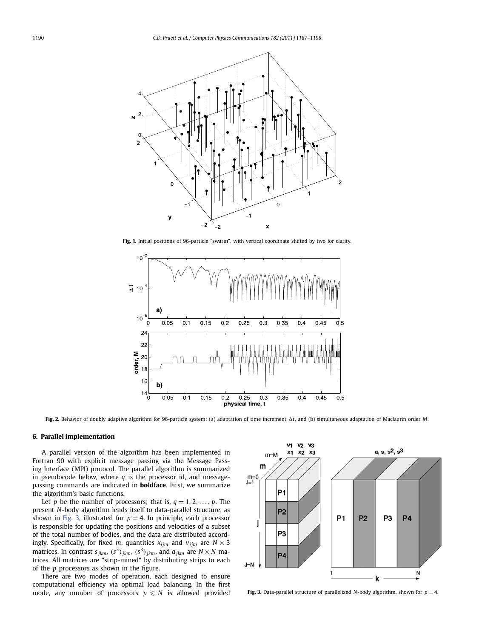<span id="page-3-0"></span>

**Fig. 1.** Initial positions of 96-particle "swarm", with vertical coordinate shifted by two for clarity.



Fig. 2. Behavior of doubly adaptive algorithm for 96-particle system: (a) adaptation of time increment  $\Delta t$ , and (b) simultaneous adaptation of Maclaurin order *M*.

# **6. Parallel implementation**

A parallel version of the algorithm has been implemented in Fortran 90 with explicit message passing via the Message Passing Interface (MPI) protocol. The parallel algorithm is summarized in pseudocode below, where *q* is the processor id, and messagepassing commands are indicated in **boldface**. First, we summarize the algorithm's basic functions.

Let *p* be the number of processors; that is,  $q = 1, 2, \ldots, p$ . The present *N*-body algorithm lends itself to data-parallel structure, as shown in Fig. 3, illustrated for  $p = 4$ . In principle, each processor is responsible for updating the positions and velocities of a subset of the total number of bodies, and the data are distributed accordingly. Specifically, for fixed *m*, quantities  $x_{ijm}$  and  $v_{ijm}$  are  $N \times 3$ matrices. In contrast  $s_{jkm}$ ,  $(s^2)_{jkm}$ ,  $(s^3)_{jkm}$ , and  $a_{jkm}$  are  $N \times N$  ma-<br>trices. All matrices are "strip-mined" by distributing strips to each of the *p* processors as shown in the figure.

There are two modes of operation, each designed to ensure computational efficiency via optimal load balancing. In the first mode, any number of processors  $p \le N$  is allowed provided



**Fig. 3.** Data-parallel structure of parallelized *N*-body algorithm, shown for  $p = 4$ .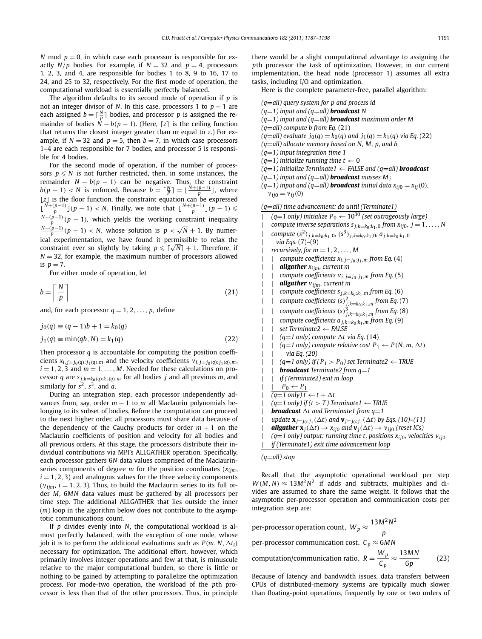<span id="page-4-0"></span>*N* mod  $p = 0$ , in which case each processor is responsible for exactly  $N/p$  bodies. For example, if  $N = 32$  and  $p = 4$ , processors 1, 2, 3, and 4, are responsible for bodies 1 to 8, 9 to 16, 17 to 24, and 25 to 32, respectively. For the first mode of operation, the computational workload is essentially perfectly balanced.

The algorithm defaults to its second mode of operation if *p* is not an integer divisor of *N*. In this case, processors 1 to *p* − 1 are each assigned  $b = \lceil \frac{N}{p} \rceil$  bodies, and processor  $p$  is assigned the remainder of bodies  $\hat{N} - b(p-1)$ . (Here, [z] is the ceiling function that returns the closest integer greater than or equal to *z*.) For example, if  $N = 32$  and  $p = 5$ , then  $b = 7$ , in which case processors 1–4 are each responsible for 7 bodies, and processor 5 is responsible for 4 bodies.

For the second mode of operation, if the number of processors  $p \leqslant N$  is not further restricted, then, in some instances, the remainder  $N - b(p - 1)$  can be negative. Thus, the constraint *b*(*p* − 1) < *N* is enforced. Because *b* =  $\lceil \frac{N}{P} \rceil$  =  $\lfloor \frac{N+(p-1)}{p} \rfloor$ , where  $\lfloor z \rfloor$  is the floor function, the constraint equation can be expressed  $\lfloor \frac{N+(p-1)}{p} \rfloor (p-1) < N$ . Finally, we note that  $\lfloor \frac{N+(p-1)}{p} \rfloor (p-1) \le$  $\frac{N+(p-1)}{p}(p-1)$ , which yields the working constraint inequality *N*<sup>+</sup>( $\frac{p-1}{p}$ ) *(p* − 1) < *N*, whose solution is *p* <  $\sqrt{N}$  + 1. By numerical experimentation, we have found it permissible to relax the constraint ever so slightly by taking  $p \leq \lceil \sqrt{N} \rceil + 1$ . Therefore, if  $N = 32$ , for example, the maximum number of processors allowed is  $p = 7$ .

For either mode of operation, let

$$
b = \left\lceil \frac{N}{p} \right\rceil \tag{21}
$$

and, for each processor  $q = 1, 2, \ldots, p$ , define

$$
j_0(q) \equiv (q-1)b + 1 = k_0(q)
$$
  
\n
$$
j_1(q) \equiv \min(qb, N) = k_1(q)
$$
\n(22)

Then processor *q* is accountable for computing the position coefficients  $x_{i,j=j_0(q):j_1(q),m}$  and the velocity coefficients  $v_{i,j=j_0(q):j_1(q),m}$ ,  $i = 1, 2, 3$  and  $m = 1, \ldots, M$ . Needed for these calculations on processor *q* are  $s_{j,k=k_0(q):k_1(q),m}$  for all bodies *j* and all previous *m*, and similarly for  $s^2$ ,  $s^3$ , and *a*.

During an integration step, each processor independently advances from, say, order  $m - 1$  to  $m$  all Maclaurin polynomials belonging to its subset of bodies. Before the computation can proceed to the next higher order, all processors must share data because of the dependency of the Cauchy products for order  $m + 1$  on the Maclaurin coefficients of position and velocity for all bodies and all previous orders. At this stage, the processors distribute their individual contributions via MPI's ALLGATHER operation. Specifically, each processor gathers 6*N* data values comprised of the Maclaurinseries components of degree *m* for the position coordinates (*xijm*,  $i = 1, 2, 3$  and analogous values for the three velocity components  $(v_{ijm}, i = 1, 2, 3)$ . Thus, to build the Maclaurin series to its full order *M*, 6*MN* data values must be gathered by all processors per time step. The additional ALLGATHER that lies outside the inner (*m*) loop in the algorithm below does not contribute to the asymptotic communications count.

If *p* divides evenly into *N*, the computational workload is almost perfectly balanced, with the exception of one node, whose job it is to perform the additional evaluations such as  $P(m, N, \Delta t)$ necessary for optimization. The additional effort, however, which primarily involves integer operations and few at that, is minuscule relative to the major computational burden, so there is little or nothing to be gained by attempting to parallelize the optimization process. For mode-two operation, the workload of the *p*th processor is less than that of the other processors. Thus, in principle there would be a slight computational advantage to assigning the *p*th processor the task of optimization. However, in our current implementation, the head node (processor 1) assumes all extra tasks, including I/O and optimization.

Here is the complete parameter-free, parallel algorithm:

*(q*=*all) query system for p and process id*  $(q=1)$  *input and*  $(q=all)$  *broadcast* N *(q*=*1) input and (q*=*all) broadcast maximum order M (q*=*all) compute b from Eq.* (21)  $(q=all)$  evaluate  $j_0(q) = k_0(q)$  and  $j_1(q) = k_1(q)$  via Eq. (22) *(q*=*all) allocate memory based on N, M, p, and b (q*=*1) input integration time T*  $(q=1)$  initialize running time  $t \leftarrow 0$  $(q=1)$  initialize Terminate1  $\leftarrow$  *FALSE and (q=all)* **broadcast**  $(q=1)$  input and  $(q=all)$  **broadcast** masses M<sub>*i*</sub>  $(q=1)$  *input and*  $(q=all)$  *broadcast <i>initial data*  $x_{ij0} = x_{ij}(0)$ *,*  $v_{ii0} = v_{ii}(0)$ *(q*=*all) time advancement: do until (Terminate1)*  $(q=1 \text{ only})$  initialize  $P_0 \leftarrow 10^{30}$  (set outrageously large) *compute inverse separations s*  $i_{k=k_0:k_1,0}$  *from x* $i_{i0}, j = 1, \ldots, N$ compute  $(s^2)_{j,k=k_0:k_1,0}$ ,  $(s^3)_{j,k=k_0:k_1,0}$ ,  $a_{j,k=k_0:k_1,0}$ | *via Eqs.* (7)–(9) | *recursively, for m* = 1*,* 2*,..., M* |  $\Box$  *compute coefficients*  $x_{i,j=j_0:j_1,m}$  *from Eq.* (4) | | *allgather xijm, current m* compute coefficients  $v_{i,j=j_0:j_1,m}$  from Eq. (5) | | *allgather vijm, current m* compute coefficients  $s_{j,k=k_0:k_1,m}$  from Eq. (6)  $|$   $|$   $|$   $\text{compute coefficients (s)}_{\substack{j,k=k_0:k_1,m}}^2$  *from Eq.* (7) |  $\blacksquare$  *compute coefficients*  $(s)$ <sup>3</sup>, $_{k=k_0:k_1,m}$  *from Eq.* (8) | *compute coefficients*  $a_{j,k=k_0:k_1,m}$  *from Eq.* (9)<br>| *set Terminate2*  $\leftarrow$  *FALSE* |  $|$  *set Terminate2* ← *FALSE*<br>|  $(a=1 \text{ only})$  *compute* At  $|$   $|$   $(q=1 \text{ only})$  compute  $\Delta t$  via Eq. (14)<br> $|$   $|$   $|$   $(q=1 \text{ only})$  compute relative cost  $P_1$ |  $(q=1 \text{ only})$  compute relative cost  $P_1 \leftarrow P(N, m, \Delta t)$ <br>| | via Ea. (20) | | *via Eq. (20)* |  $(q=1 \text{ only})$  if  $(P_1 > P_0)$  set Terminate2 ← TRUE<br>| **broadcast** Terminate2 from a=1 | | *broadcast Terminate2 from q*=*1* | *if (Terminate2) exit m loop*<br>|  $P_0 \leftarrow P_1$  $\frac{|}{(a=1 \text{ only})t}$  $\sqrt{(q=1 \text{ only}) t} \leftarrow t + \Delta t$ <br>  $\sqrt{(q=1 \text{ only}) if (t > T) T}$  $(q=1 \text{ only})$  if  $(t > T)$  Terminate  $1 \leftarrow$  TRUE *broadcast*  $\Delta t$  and Terminate1 from  $q=1$ *update*  $\mathbf{x}_{j=j_0:j_1}(\Delta t)$  *and*  $\mathbf{v}_{j=j_0:j_1}(\Delta t)$  *by Eqs.* (10)–(11)  $\alpha$ *allgather* $\mathbf{x}_j(\Delta t) \rightarrow x_{ij0}$  **and**  $\mathbf{v}_j(\Delta t) \rightarrow v_{ij0}$  **(reset ICs)** | *(q*=*1 only) output: running time t, positions xij*0*, velocities vij*<sup>0</sup> | *if (Terminate1) exit time advancement loop*

# *(q*=*all) stop*

Recall that the asymptotic operational workload per step  $W(M, N) \approx 13M^2N^2$  if adds and subtracts, multiplies and divides are assumed to share the same weight. It follows that the asymptotic per-processor operation and communication costs per integration step are:

per-processor operation count, 
$$
W_p \approx \frac{13M^2N^2}{p}
$$
  
per-processor communication cost,  $C_p \approx 6MN$   
computation/communication ratio,  $R = \frac{W_p}{C_p} \approx \frac{13MN}{6p}$  (23)

Because of latency and bandwidth issues, data transfers between CPUs of distributed-memory systems are typically much slower than floating-point operations, frequently by one or two orders of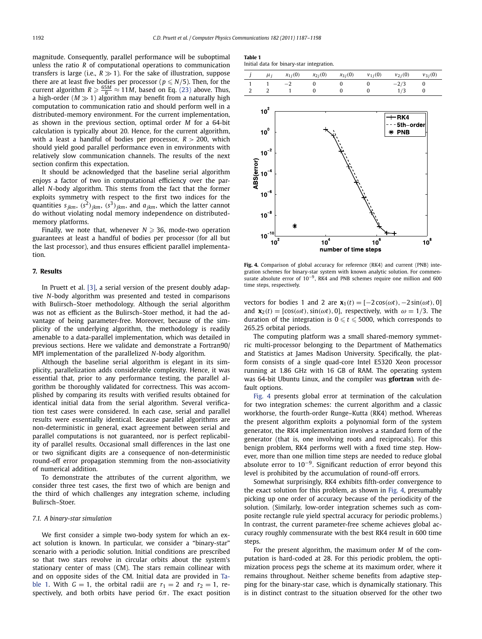<span id="page-5-0"></span>magnitude. Consequently, parallel performance will be suboptimal unless the ratio *R* of computational operations to communication transfers is large (i.e.,  $R \gg 1$ ). For the sake of illustration, suppose there are at least five bodies per processor ( $p \leqslant N/5$ ). Then, for the current algorithm  $R \geqslant \frac{65M}{6} \approx 11M$ , based on Eq. [\(23\)](#page-4-0) above. Thus, a high-order ( $M \gg 1$ ) algorithm may benefit from a naturally high computation to communication ratio and should perform well in a distributed-memory environment. For the current implementation, as shown in the previous section, optimal order *M* for a 64-bit calculation is typically about 20. Hence, for the current algorithm, with a least a handful of bodies per processor, *R >* 200, which should yield good parallel performance even in environments with relatively slow communication channels. The results of the next section confirm this expectation.

It should be acknowledged that the baseline serial algorithm enjoys a factor of two in computational efficiency over the parallel *N*-body algorithm. This stems from the fact that the former exploits symmetry with respect to the first two indices for the quantities  $s_{jkm}$ ,  $(s^2)_{jkm}$ ,  $(s^3)_{jkm}$ , and  $a_{jkm}$ , which the latter cannot do without violating nodal memory independence on distributedmemory platforms.

Finally, we note that, whenever  $N \geq 36$ , mode-two operation guarantees at least a handful of bodies per processor (for all but the last processor), and thus ensures efficient parallel implementation.

### **7. Results**

In Pruett et al. [\[3\],](#page-11-0) a serial version of the present doubly adaptive *N*-body algorithm was presented and tested in comparisons with Bulirsch–Stoer methodology. Although the serial algorithm was not as efficient as the Bulirsch–Stoer method, it had the advantage of being parameter-free. Moreover, because of the simplicity of the underlying algorithm, the methodology is readily amenable to a data-parallel implementation, which was detailed in previous sections. Here we validate and demonstrate a Fortran90/ MPI implementation of the parallelized *N*-body algorithm.

Although the baseline serial algorithm is elegant in its simplicity, parallelization adds considerable complexity. Hence, it was essential that, prior to any performance testing, the parallel algorithm be thoroughly validated for correctness. This was accomplished by comparing its results with verified results obtained for identical initial data from the serial algorithm. Several verification test cases were considered. In each case, serial and parallel results were essentially identical. Because parallel algorithms are non-deterministic in general, exact agreement between serial and parallel computations is not guaranteed, nor is perfect replicability of parallel results. Occasional small differences in the last one or two significant digits are a consequence of non-deterministic round-off error propagation stemming from the non-associativity of numerical addition.

To demonstrate the attributes of the current algorithm, we consider three test cases, the first two of which are benign and the third of which challenges any integration scheme, including Bulirsch–Stoer.

#### *7.1. A binary-star simulation*

We first consider a simple two-body system for which an exact solution is known. In particular, we consider a "binary-star" scenario with a periodic solution. Initial conditions are prescribed so that two stars revolve in circular orbits about the system's stationary center of mass (CM). The stars remain collinear with and on opposite sides of the CM. Initial data are provided in Table 1. With  $G = 1$ , the orbital radii are  $r_1 = 2$  and  $r_2 = 1$ , respectively, and both orbits have period 6*π*. The exact position

**Table 1** Initial data for binary-star integration.

|          |      |  | j $\mu_j$ $x_{1j}(0)$ $x_{2j}(0)$ $x_{3j}(0)$ $v_{1j}(0)$ $v_{2j}(0)$ $v_{3j}(0)$ |  |
|----------|------|--|-----------------------------------------------------------------------------------|--|
| $\sim$ 1 | $-2$ |  | $-2/3$                                                                            |  |
|          |      |  | 1/3                                                                               |  |



**Fig. 4.** Comparison of global accuracy for reference (RK4) and current (PNB) integration schemes for binary-star system with known analytic solution. For commensurate absolute error of  $10^{-9}$ , RK4 and PNB schemes require one million and 600 time steps, respectively.

vectors for bodies 1 and 2 are  $\mathbf{x}_1(t) = [-2\cos(\omega t), -2\sin(\omega t), 0]$ and  $\mathbf{x}_2(t) = [\cos(\omega t), \sin(\omega t), 0]$ , respectively, with  $\omega = 1/3$ . The duration of the integration is  $0 \leq t \leq 5000$ , which corresponds to 265.25 orbital periods.

The computing platform was a small shared-memory symmetric multi-processor belonging to the Department of Mathematics and Statistics at James Madison University. Specifically, the platform consists of a single quad-core Intel E5320 Xeon processor running at 1.86 GHz with 16 GB of RAM. The operating system was 64-bit Ubuntu Linux, and the compiler was **gfortran** with default options.

Fig. 4 presents global error at termination of the calculation for two integration schemes: the current algorithm and a classic workhorse, the fourth-order Runge–Kutta (RK4) method. Whereas the present algorithm exploits a polynomial form of the system generator, the RK4 implementation involves a standard form of the generator (that is, one involving roots and reciprocals). For this benign problem, RK4 performs well with a fixed time step. However, more than one million time steps are needed to reduce global absolute error to 10<sup>−</sup>9. Significant reduction of error beyond this level is prohibited by the accumulation of round-off errors.

Somewhat surprisingly, RK4 exhibits fifth-order convergence to the exact solution for this problem, as shown in Fig. 4, presumably picking up one order of accuracy because of the periodicity of the solution. (Similarly, low-order integration schemes such as composite rectangle rule yield spectral accuracy for periodic problems.) In contrast, the current parameter-free scheme achieves global accuracy roughly commensurate with the best RK4 result in 600 time steps.

For the present algorithm, the maximum order *M* of the computation is hard-coded at 28. For this periodic problem, the optimization process pegs the scheme at its maximum order, where it remains throughout. Neither scheme benefits from adaptive stepping for the binary-star case, which is dynamically stationary. This is in distinct contrast to the situation observed for the other two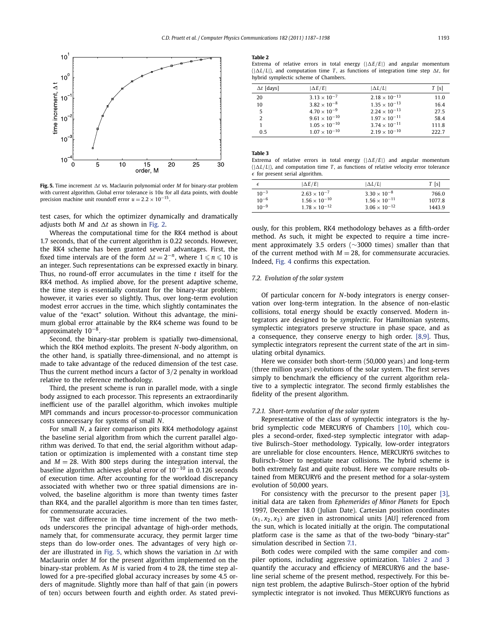<span id="page-6-0"></span>

**Fig. 5.** Time increment  $\Delta t$  vs. Maclaurin polynomial order *M* for binary-star problem with current algorithm. Global error tolerance is 10*u* for all data points, with double precision machine unit roundoff error  $u = 2.2 \times 10^{-15}$ .

test cases, for which the optimizer dynamically and dramatically adjusts both *M* and  $\Delta t$  as shown in [Fig. 2.](#page-3-0)

Whereas the computational time for the RK4 method is about 1.7 seconds, that of the current algorithm is 0.22 seconds. However, the RK4 scheme has been granted several advantages. First, the fixed time intervals are of the form  $\Delta t = 2^{-n}$ , where  $1 \leq n \leq 10$  is an integer. Such representations can be expressed exactly in binary. Thus, no round-off error accumulates in the time *t* itself for the RK4 method. As implied above, for the present adaptive scheme, the time step is essentially constant for the binary-star problem; however, it varies ever so slightly. Thus, over long-term evolution modest error accrues in the time, which slightly contaminates the value of the "exact" solution. Without this advantage, the minimum global error attainable by the RK4 scheme was found to be approximately 10<sup>−</sup>8.

Second, the binary-star problem is spatially two-dimensional, which the RK4 method exploits. The present *N*-body algorithm, on the other hand, is spatially three-dimensional, and no attempt is made to take advantage of the reduced dimension of the test case. Thus the current method incurs a factor of 3*/*2 penalty in workload relative to the reference methodology.

Third, the present scheme is run in parallel mode, with a single body assigned to each processor. This represents an extraordinarily inefficient use of the parallel algorithm, which invokes multiple MPI commands and incurs processor-to-processor communication costs unnecessary for systems of small *N*.

For small *N*, a fairer comparison pits RK4 methodology against the baseline serial algorithm from which the current parallel algorithm was derived. To that end, the serial algorithm without adaptation or optimization is implemented with a constant time step and  $M = 28$ . With 800 steps during the integration interval, the baseline algorithm achieves global error of 10−<sup>10</sup> in 0*.*126 seconds of execution time. After accounting for the workload discrepancy associated with whether two or three spatial dimensions are involved, the baseline algorithm is more than twenty times faster than RK4, and the parallel algorithm is more than ten times faster, for commensurate accuracies.

The vast difference in the time increment of the two methods underscores the principal advantage of high-order methods, namely that, for commensurate accuracy, they permit larger time steps than do low-order ones. The advantages of very high order are illustrated in Fig. 5, which shows the variation in  $\Delta t$  with Maclaurin order *M* for the present algorithm implemented on the binary-star problem. As *M* is varied from 4 to 28, the time step allowed for a pre-specified global accuracy increases by some 4.5 orders of magnitude. Slightly more than half of that gain (in powers of ten) occurs between fourth and eighth order. As stated previ-

#### **Table 2**

Extrema of relative errors in total energy  $(|\Delta E/E|)$  and angular momentum  $(|\Delta L/L|)$ , and computation time *T*, as functions of integration time step  $\Delta t$ , for hybrid symplectic scheme of Chambers.

| $\Delta t$ [days] | $ \Delta E/E $         | $ \Delta L/L $         | $T$ [s] |
|-------------------|------------------------|------------------------|---------|
| 20                | $3.13 \times 10^{-7}$  | $2.18 \times 10^{-13}$ | 11.0    |
| 10                | $3.82 \times 10^{-8}$  | $1.35 \times 10^{-13}$ | 16.4    |
| 5                 | $4.70 \times 10^{-9}$  | $2.24 \times 10^{-13}$ | 27.5    |
| 2                 | $9.61 \times 10^{-10}$ | $1.97 \times 10^{-11}$ | 58.4    |
|                   | $1.05 \times 10^{-10}$ | $3.74 \times 10^{-11}$ | 111.8   |
| 0.5               | $1.07 \times 10^{-10}$ | $2.19 \times 10^{-10}$ | 222.7   |

#### **Table 3**

Extrema of relative errors in total energy  $(|\Delta E/E|)$  and angular momentum  $(|\Delta L/L|)$ , and computation time *T*, as functions of relative velocity error tolerance  $\epsilon$  for present serial algorithm.

|           | $ \Delta E/E $         | $ \Delta L/L $         | $T$ [s] |
|-----------|------------------------|------------------------|---------|
| $10^{-3}$ | $2.63 \times 10^{-7}$  | $3.30 \times 10^{-8}$  | 766.0   |
| $10^{-6}$ | $1.56 \times 10^{-10}$ | $1.56 \times 10^{-11}$ | 1077.8  |
| $10^{-9}$ | $1.78 \times 10^{-12}$ | $3.06 \times 10^{-12}$ | 1443.9  |

ously, for this problem, RK4 methodology behaves as a fifth-order method. As such, it might be expected to require a time increment approximately 3.5 orders (∼3000 times) smaller than that of the current method with  $M = 28$ , for commensurate accuracies. Indeed, [Fig. 4](#page-5-0) confirms this expectation.

#### *7.2. Evolution of the solar system*

Of particular concern for *N*-body integrators is energy conservation over long-term integration. In the absence of non-elastic collisions, total energy should be exactly conserved. Modern integrators are designed to be *symplectic*. For Hamiltonian systems, symplectic integrators preserve structure in phase space, and as a consequence, they conserve energy to high order. [\[8,9\].](#page-11-0) Thus, symplectic integrators represent the current state of the art in simulating orbital dynamics.

Here we consider both short-term (50,000 years) and long-term (three million years) evolutions of the solar system. The first serves simply to benchmark the efficiency of the current algorithm relative to a symplectic integrator. The second firmly establishes the fidelity of the present algorithm.

#### *7.2.1. Short-term evolution of the solar system*

Representative of the class of symplectic integrators is the hybrid symplectic code MERCURY6 of Chambers [\[10\],](#page-11-0) which couples a second-order, fixed-step symplectic integrator with adaptive Bulirsch–Stoer methodology. Typically, low-order integrators are unreliable for close encounters. Hence, MERCURY6 switches to Bulirsch–Stoer to negotiate near collisions. The hybrid scheme is both extremely fast and quite robust. Here we compare results obtained from MERCURY6 and the present method for a solar-system evolution of 50,000 years.

For consistency with the precursor to the present paper [\[3\],](#page-11-0) initial data are taken from *Ephemerides of Minor Planets* for Epoch 1997, December 18.0 (Julian Date). Cartesian position coordinates  $(x_1, x_2, x_3)$  are given in astronomical units [AU] referenced from the sun, which is located initially at the origin. The computational platform case is the same as that of the two-body "binary-star" simulation described in Section [7.1.](#page-5-0)

Both codes were compiled with the same compiler and compiler options, including aggressive optimization. Tables 2 and 3 quantify the accuracy and efficiency of MERCURY6 and the baseline serial scheme of the present method, respectively. For this benign test problem, the adaptive Bulirsch–Stoer option of the hybrid symplectic integrator is not invoked. Thus MERCURY6 functions as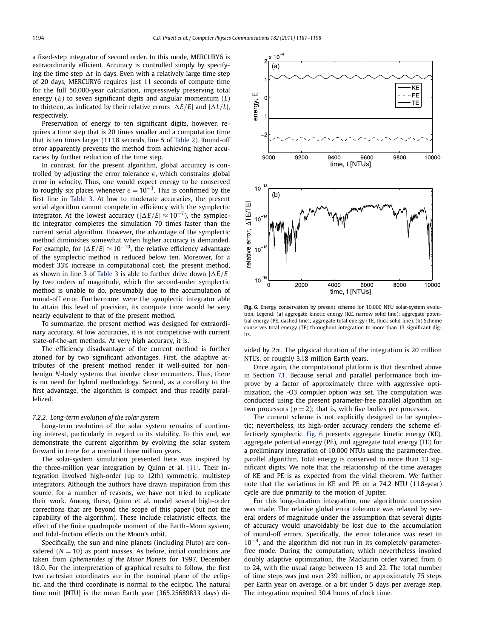<span id="page-7-0"></span>a fixed-step integrator of second order. In this mode, MERCURY6 is extraordinarily efficient. Accuracy is controlled simply by specifying the time step  $\Delta t$  in days. Even with a relatively large time step of 20 days, MERCURY6 requires just 11 seconds of compute time for the full 50,000-year calculation, impressively preserving total energy (*E*) to seven significant digits and angular momentum (*L*) to thirteen, as indicated by their relative errors  $|\Delta E/E|$  and  $|\Delta L/L|$ , respectively.

Preservation of energy to ten significant digits, however, requires a time step that is 20 times smaller and a computation time that is ten times larger (111.8 seconds, line 5 of [Table 2\)](#page-6-0). Round-off error apparently prevents the method from achieving higher accuracies by further reduction of the time step.

In contrast, for the present algorithm, global accuracy is controlled by adjusting the error tolerance  $\epsilon$ , which constrains global error in velocity. Thus, one would expect energy to be conserved to roughly six places whenever  $\epsilon = 10^{-3}$ . This is confirmed by the first line in [Table 3.](#page-6-0) At low to moderate accuracies, the present serial algorithm cannot compete in efficiency with the symplectic integrator. At the lowest accuracy ( $|\Delta E/E| \approx 10^{-7}$ ), the symplectic integrator completes the simulation 70 times faster than the current serial algorithm. However, the advantage of the symplectic method diminishes somewhat when higher accuracy is demanded. For example, for  $|\Delta E/E| \approx 10^{-10}$ , the relative efficiency advantage of the symplectic method is reduced below ten. Moreover, for a modest 33% increase in computational cost, the present method, as shown in line 3 of [Table 3](#page-6-0) is able to further drive down  $|\Delta E/E|$ by two orders of magnitude, which the second-order symplectic method is unable to do, presumably due to the accumulation of round-off error. Furthermore, were the symplectic integrator able to attain this level of precision, its compute time would be very nearly equivalent to that of the present method.

To summarize, the present method was designed for extraordinary accuracy. At low accuracies, it is not competitive with current state-of-the-art methods. At very high accuracy, it is.

The efficiency disadvantage of the current method is further atoned for by two significant advantages. First, the adaptive attributes of the present method render it well-suited for nonbenign *N*-body systems that involve close encounters. Thus, there is no need for hybrid methodology. Second, as a corollary to the first advantage, the algorithm is compact and thus readily parallelized.

#### *7.2.2. Long-term evolution of the solar system*

Long-term evolution of the solar system remains of continuing interest, particularly in regard to its stability. To this end, we demonstrate the current algorithm by evolving the solar system forward in time for a nominal three million years.

The solar-system simulation presented here was inspired by the three-million year integration by Quinn et al. [\[11\].](#page-11-0) Their integration involved high-order (up to 12th) symmetric, multistep integrators. Although the authors have drawn inspiration from this source, for a number of reasons, we have not tried to replicate their work. Among these, Quinn et al. model several high-order corrections that are beyond the scope of this paper (but not the capability of the algorithm). These include relativistic effects, the effect of the finite quadrupole moment of the Earth–Moon system, and tidal-friction effects on the Moon's orbit.

Specifically, the sun and nine planets (including Pluto) are considered  $(N = 10)$  as point masses. As before, initial conditions are taken from *Ephemerides of the Minor Planets* for 1997, December 18.0. For the interpretation of graphical results to follow, the first two cartesian coordinates are in the nominal plane of the ecliptic, and the third coordinate is normal to the ecliptic. The natural time unit [NTU] is the mean Earth year (365.25689833 days) di-



**Fig. 6.** Energy conservation by present scheme for 10,000 NTU solar-system evolution. Legend: (a) aggregate kinetic energy (KE, narrow solid line); aggregate potential energy (PE, dashed line); aggregate total energy (TE, thick solid line). (b) Scheme conserves total energy (TE) throughout integration to more than 13 significant digits.

vided by  $2\pi$ . The physical duration of the integration is 20 million NTUs, or roughly 3.18 million Earth years.

Once again, the computational platform is that described above in Section [7.1](#page-5-0). Because serial and parallel performance both improve by a factor of approximately three with aggressive optimization, the -O3 compiler option was set. The computation was conducted using the present parameter-free parallel algorithm on two processors  $(p = 2)$ ; that is, with five bodies per processor.

The current scheme is not explicitly designed to be symplectic; nevertheless, its high-order accuracy renders the scheme effectively symplectic. Fig. 6 presents aggregate kinetic energy (KE), aggregate potential energy (PE), and aggregate total energy (TE) for a preliminary integration of 10,000 NTUs using the parameter-free, parallel algorithm. Total energy is conserved to more than 13 significant digits. We note that the relationship of the time averages of KE and PE is as expected from the virial theorem. We further note that the variations in KE and PE on a 74.2 NTU (11.8-year) cycle are due primarily to the motion of Jupiter.

For this long-duration integration, one algorithmic concession was made. The relative global error tolerance was relaxed by several orders of magnitude under the assumption that several digits of accuracy would unavoidably be lost due to the accumulation of round-off errors. Specifically, the error tolerance was reset to  $10^{-9}$ , and the algorithm did not run in its completely parameterfree mode. During the computation, which nevertheless invoked doubly adaptive optimization, the Maclaurin order varied from 6 to 24, with the usual range between 13 and 22. The total number of time steps was just over 239 million, or approximately 75 steps per Earth year on average, or a bit under 5 days per average step. The integration required 30.4 hours of clock time.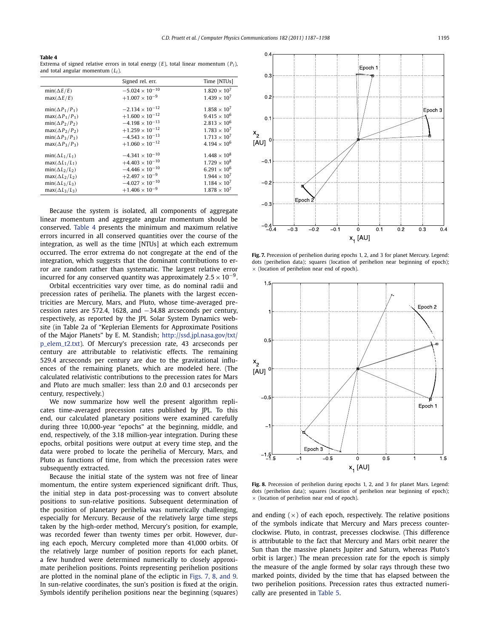#### <span id="page-8-0"></span>**Table 4**

Extrema of signed relative errors in total energy (*E*), total linear momentum (*Pi*), and total angular momentum (*Li*).

|                       | Signed rel. err.         | Time [NTUs]           |
|-----------------------|--------------------------|-----------------------|
| $min(\Delta E/E)$     | $-5.024 \times 10^{-10}$ | $1.820 \times 10^{7}$ |
| $max(\Delta E/E)$     | $+1.007\times10^{-9}$    | $1.439 \times 10^{7}$ |
| $min(\Delta P_1/P_1)$ | $-2.134 \times 10^{-12}$ | $1.858 \times 10^{7}$ |
| $max(\Delta P_1/P_1)$ | $+1.600 \times 10^{-12}$ | $9.415 \times 10^{6}$ |
| $min(\Delta P_2/P_2)$ | $-4.198 \times 10^{-13}$ | $2.813 \times 10^{6}$ |
| $max(\Delta P_2/P_2)$ | $+1.259 \times 10^{-12}$ | $1.783 \times 10^{7}$ |
| $min(\Delta P_3/P_3)$ | $-4.543 \times 10^{-13}$ | $1.713 \times 10^{7}$ |
| $max(\Delta P_3/P_3)$ | $+1.060 \times 10^{-12}$ | $4.194 \times 10^{6}$ |
| $min(\Delta L_1/L_1)$ | $-4.341 \times 10^{-10}$ | $1.448 \times 10^{8}$ |
| $max(\Delta L_1/L_1)$ | $+4.403 \times 10^{-10}$ | $1.729 \times 10^{8}$ |
| $min(\Delta L_2/L_2)$ | $-4.446 \times 10^{-10}$ | $6.291 \times 10^{6}$ |
| $max(\Delta L_2/L_2)$ | $+2.497 \times 10^{-9}$  | $1.944 \times 10^{7}$ |
| $min(\Delta L_3/L_3)$ | $-4.027 \times 10^{-10}$ | $1.184 \times 10^{7}$ |
| $max(\Delta L_3/L_3)$ | $+1.406 \times 10^{-9}$  | $1.878 \times 10^{7}$ |

Because the system is isolated, all components of aggregate linear momentum and aggregate angular momentum should be conserved. Table 4 presents the minimum and maximum relative errors incurred in all conserved quantities over the course of the integration, as well as the time [NTUs] at which each extremum occurred. The error extrema do not congregate at the end of the integration, which suggests that the dominant contributions to error are random rather than systematic. The largest relative error incurred for any conserved quantity was approximately  $2.5 \times 10^{-9}$ .

Orbital eccentricities vary over time, as do nominal radii and precession rates of perihelia. The planets with the largest eccentricities are Mercury, Mars, and Pluto, whose time-averaged precession rates are 572.4, 1628, and −34.88 arcseconds per century, respectively, as reported by the JPL Solar System Dynamics website (in Table 2a of "Keplerian Elements for Approximate Positions of the Major Planets" by E. M. Standish; [http://ssd.jpl.nasa.gov/txt/](http://ssd.jpl.nasa.gov/txt/p_elem_t2.txt) [p\\_elem\\_t2.txt\)](http://ssd.jpl.nasa.gov/txt/p_elem_t2.txt). Of Mercury's precession rate, 43 arcseconds per century are attributable to relativistic effects. The remaining 529.4 arcseconds per century are due to the gravitational influences of the remaining planets, which are modeled here. (The calculated relativistic contributions to the precession rates for Mars and Pluto are much smaller: less than 2.0 and 0.1 arcseconds per century, respectively.)

We now summarize how well the present algorithm replicates time-averaged precession rates published by JPL. To this end, our calculated planetary positions were examined carefully during three 10,000-year "epochs" at the beginning, middle, and end, respectively, of the 3.18 million-year integration. During these epochs, orbital positions were output at every time step, and the data were probed to locate the perihelia of Mercury, Mars, and Pluto as functions of time, from which the precession rates were subsequently extracted.

Because the initial state of the system was not free of linear momentum, the entire system experienced significant drift. Thus, the initial step in data post-processing was to convert absolute positions to sun-relative positions. Subsequent determination of the position of planetary perihelia was numerically challenging, especially for Mercury. Because of the relatively large time steps taken by the high-order method, Mercury's position, for example, was recorded fewer than twenty times per orbit. However, during each epoch, Mercury completed more than 41,000 orbits. Of the relatively large number of position reports for each planet, a few hundred were determined numerically to closely approximate perihelion positions. Points representing perihelion positions are plotted in the nominal plane of the ecliptic in Figs. 7, 8, and 9. In sun-relative coordinates, the sun's position is fixed at the origin. Symbols identify perihelion positions near the beginning (squares)



**Fig. 7.** Precession of perihelion during epochs 1, 2, and 3 for planet Mercury. Legend: dots (perihelion data); squares (location of perihelion near beginning of epoch);  $\times$  (location of perihelion near end of epoch).



**Fig. 8.** Precession of perihelion during epochs 1, 2, and 3 for planet Mars. Legend: dots (perihelion data); squares (location of perihelion near beginning of epoch);  $\times$  (location of perihelion near end of epoch).

and ending  $(x)$  of each epoch, respectively. The relative positions of the symbols indicate that Mercury and Mars precess counterclockwise. Pluto, in contrast, precesses clockwise. (This difference is attributable to the fact that Mercury and Mars orbit nearer the Sun than the massive planets Jupiter and Saturn, whereas Pluto's orbit is larger.) The mean precession rate for the epoch is simply the measure of the angle formed by solar rays through these two marked points, divided by the time that has elapsed between the two perihelion positions. Precession rates thus extracted numerically are presented in [Table 5.](#page-9-0)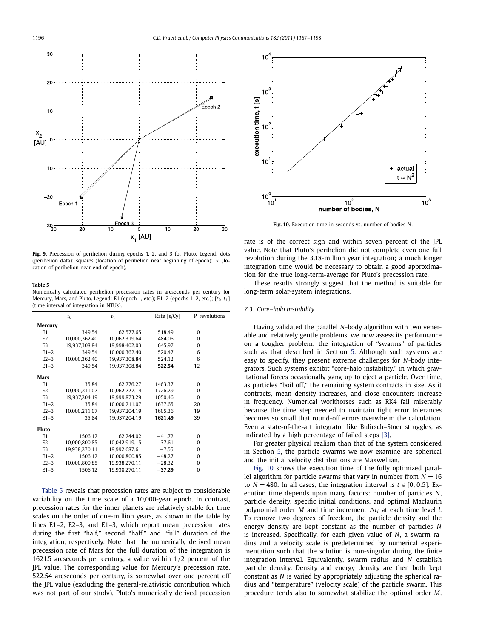<span id="page-9-0"></span>

**Fig. 9.** Precession of perihelion during epochs 1, 2, and 3 for Pluto. Legend: dots (perihelion data); squares (location of perihelion near beginning of epoch);  $\times$  (location of perihelion near end of epoch).

#### **Table 5**

Numerically calculated perihelion precession rates in arcseconds per century for Mercury, Mars, and Pluto. Legend: E1 (epoch 1, etc.); E1-2 (epochs 1-2, etc.); [ $t_0, t_1$ ] (time interval of integration in NTUs).

|                | $t_0$         | $t_1$         | Rate $[s/Cy]$ | P. revolutions |
|----------------|---------------|---------------|---------------|----------------|
| Mercury        |               |               |               |                |
| E1             | 349.54        | 62.577.65     | 518.49        | $\Omega$       |
| E <sub>2</sub> | 10,000,362.40 | 10,062,319.64 | 484.06        | $\Omega$       |
| E3             | 19.937.308.84 | 19.998.402.03 | 645.97        | $\Omega$       |
| $E1-2$         | 349.54        | 10,000,362.40 | 520.47        | 6              |
| $E2-3$         | 10,000,362.40 | 19,937,308.84 | 524.12        | 6              |
| $E1-3$         | 349.54        | 19,937,308.84 | 522.54        | 12             |
| <b>Mars</b>    |               |               |               |                |
| E1             | 35.84         | 62,776.27     | 1463.37       | $\Omega$       |
| E <sub>2</sub> | 10,000,211.07 | 10,062,727.14 | 1726.29       | $\Omega$       |
| E3             | 19,937,204.19 | 19,999,873.29 | 1050.46       | $\Omega$       |
| $E1-2$         | 35.84         | 10.000.211.07 | 1637.65       | 20             |
| $E2-3$         | 10,000,211.07 | 19,937,204.19 | 1605.36       | 19             |
| $E1-3$         | 35.84         | 19.937.204.19 | 1621.49       | 39             |
| Pluto          |               |               |               |                |
| E <sub>1</sub> | 1506.12       | 62.244.02     | $-41.72$      | $\Omega$       |
| E <sub>2</sub> | 10,000,800.85 | 10,042,919.15 | $-37.61$      | $\Omega$       |
| E <sub>3</sub> | 19.938.270.11 | 19,992,687.61 | $-7.55$       | $\Omega$       |
| $E1-2$         | 1506.12       | 10,000,800.85 | $-48.27$      | $\Omega$       |
| $E2-3$         | 10,000,800.85 | 19,938,270.11 | $-28.32$      | $\Omega$       |
| $E1-3$         | 1506.12       | 19,938,270.11 | $-37.29$      | $\Omega$       |

Table 5 reveals that precession rates are subject to considerable variability on the time scale of a 10,000-year epoch. In contrast, precession rates for the inner planets are relatively stable for time scales on the order of one-million years, as shown in the table by lines E1–2, E2–3, and E1–3, which report mean precession rates during the first "half," second "half," and "full" duration of the integration, respectively. Note that the numerically derived mean precession rate of Mars for the full duration of the integration is 1621.5 arcseconds per century, a value within 1*/*2 percent of the JPL value. The corresponding value for Mercury's precession rate, 522.54 arcseconds per century, is somewhat over one percent off the JPL value (excluding the general-relativistic contribution which was not part of our study). Pluto's numerically derived precession



**Fig. 10.** Execution time in seconds vs. number of bodies *N*.

rate is of the correct sign and within seven percent of the JPL value. Note that Pluto's perihelion did not complete even one full revolution during the 3.18-million year integration; a much longer integration time would be necessary to obtain a good approximation for the true long-term-average for Pluto's precession rate.

These results strongly suggest that the method is suitable for long-term solar-system integrations.

#### *7.3. Core–halo instability*

Having validated the parallel *N*-body algorithm with two venerable and relatively gentle problems, we now assess its performance on a tougher problem: the integration of "swarms" of particles such as that described in Section [5.](#page-2-0) Although such systems are easy to specify, they present extreme challenges for *N*-body integrators. Such systems exhibit "core-halo instability," in which gravitational forces occasionally gang up to eject a particle. Over time, as particles "boil off," the remaining system contracts in size. As it contracts, mean density increases, and close encounters increase in frequency. Numerical workhorses such as RK4 fail miserably because the time step needed to maintain tight error tolerances becomes so small that round-off errors overwhelm the calculation. Even a state-of-the-art integrator like Bulirsch–Stoer struggles, as indicated by a high percentage of failed steps [\[3\].](#page-11-0)

For greater physical realism than that of the system considered in Section [5,](#page-2-0) the particle swarms we now examine are spherical and the initial velocity distributions are Maxwellian.

Fig. 10 shows the execution time of the fully optimized parallel algorithm for particle swarms that vary in number from  $N = 16$ to  $N = 480$ . In all cases, the integration interval is  $t \in [0, 0.5]$ . Execution time depends upon many factors: number of particles *N*, particle density, specific initial conditions, and optimal Maclaurin polynomial order *M* and time increment  $\Delta t_l$  at each time level *l*. To remove two degrees of freedom, the particle density and the energy density are kept constant as the number of particles *N* is increased. Specifically, for each given value of *N*, a swarm radius and a velocity scale is predetermined by numerical experimentation such that the solution is non-singular during the finite integration interval. Equivalently, swarm radius and *N* establish particle density. Density and energy density are then both kept constant as *N* is varied by appropriately adjusting the spherical radius and "temperature" (velocity scale) of the particle swarm. This procedure tends also to somewhat stabilize the optimal order *M*.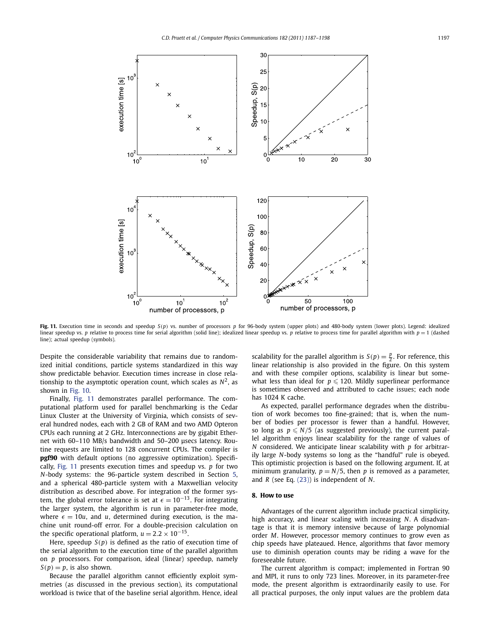

**Fig. 11.** Execution time in seconds and speedup *S(p)* vs. number of processors *p* for 96-body system (upper plots) and 480-body system (lower plots). Legend: idealized linear speedup vs. *p* relative to process time for serial algorithm (solid line); idealized linear speedup vs. *p* relative to process time for parallel algorithm with  $p = 1$  (dashed line); actual speedup (symbols).

Despite the considerable variability that remains due to randomized initial conditions, particle systems standardized in this way show predictable behavior. Execution times increase in close relationship to the asymptotic operation count, which scales as  $N^2$ , as shown in [Fig. 10.](#page-9-0)

Finally, Fig. 11 demonstrates parallel performance. The computational platform used for parallel benchmarking is the Cedar Linux Cluster at the University of Virginia, which consists of several hundred nodes, each with 2 GB of RAM and two AMD Opteron CPUs each running at 2 GHz. Interconnections are by gigabit Ethernet with 60–110 MB/s bandwidth and 50–200 μsecs latency. Routine requests are limited to 128 concurrent CPUs. The compiler is **pgf90** with default options (no aggressive optimization). Specifically, Fig. 11 presents execution times and speedup vs. *p* for two *N*-body systems: the 96-particle system described in Section [5,](#page-2-0) and a spherical 480-particle system with a Maxwellian velocity distribution as described above. For integration of the former system, the global error tolerance is set at  $\epsilon = 10^{-13}$ . For integrating the larger system, the algorithm is run in parameter-free mode, where  $\epsilon = 10u$ , and *u*, determined during execution, is the machine unit round-off error. For a double-precision calculation on the specific operational platform,  $u = 2.2 \times 10^{-15}$ .

Here, speedup  $S(p)$  is defined as the ratio of execution time of the serial algorithm to the execution time of the parallel algorithm on *p* processors. For comparison, ideal (linear) speedup, namely  $S(p) = p$ , is also shown.

Because the parallel algorithm cannot efficiently exploit symmetries (as discussed in the previous section), its computational workload is twice that of the baseline serial algorithm. Hence, ideal

scalability for the parallel algorithm is  $S(p) = \frac{p}{2}$ . For reference, this linear relationship is also provided in the figure. On this system and with these compiler options, scalability is linear but somewhat less than ideal for  $p \leqslant 120.$  Mildly superlinear performance is sometimes observed and attributed to cache issues; each node has 1024 K cache.

As expected, parallel performance degrades when the distribution of work becomes too fine-grained; that is, when the number of bodies per processor is fewer than a handful. However, so long as  $p \leq N/5$  (as suggested previously), the current parallel algorithm enjoys linear scalability for the range of values of *N* considered. We anticipate linear scalability with *p* for arbitrarily large *N*-body systems so long as the "handful" rule is obeyed. This optimistic projection is based on the following argument. If, at minimum granularity,  $p = N/5$ , then p is removed as a parameter, and *R* (see Eq. [\(23\)\)](#page-4-0) is independent of *N*.

# **8. How to use**

Advantages of the current algorithm include practical simplicity, high accuracy, and linear scaling with increasing *N*. A disadvantage is that it is memory intensive because of large polynomial order *M*. However, processor memory continues to grow even as chip speeds have plateaued. Hence, algorithms that favor memory use to diminish operation counts may be riding a wave for the foreseeable future.

The current algorithm is compact; implemented in Fortran 90 and MPI, it runs to only 723 lines. Moreover, in its parameter-free mode, the present algorithm is extraordinarily easily to use. For all practical purposes, the only input values are the problem data